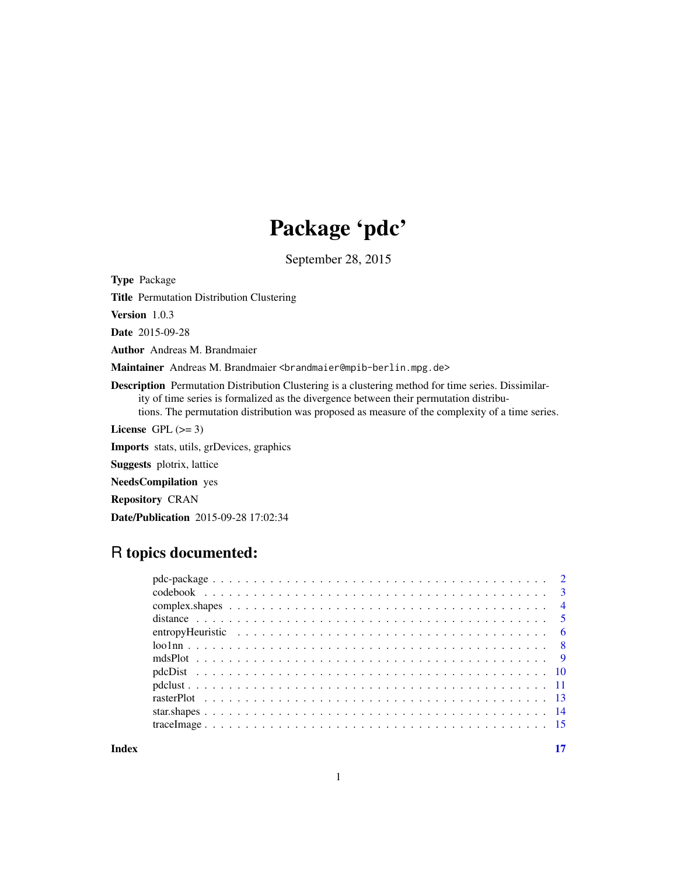## Package 'pdc'

September 28, 2015

<span id="page-0-0"></span>Type Package

Title Permutation Distribution Clustering

Version 1.0.3

Date 2015-09-28

Author Andreas M. Brandmaier

Maintainer Andreas M. Brandmaier <br />brandmaier@mpib-berlin.mpg.de>

Description Permutation Distribution Clustering is a clustering method for time series. Dissimilarity of time series is formalized as the divergence between their permutation distributions. The permutation distribution was proposed as measure of the complexity of a time series.

License GPL  $(>= 3)$ 

Imports stats, utils, grDevices, graphics

Suggests plotrix, lattice

NeedsCompilation yes

Repository CRAN

Date/Publication 2015-09-28 17:02:34

## R topics documented:

**Index** [17](#page-16-0)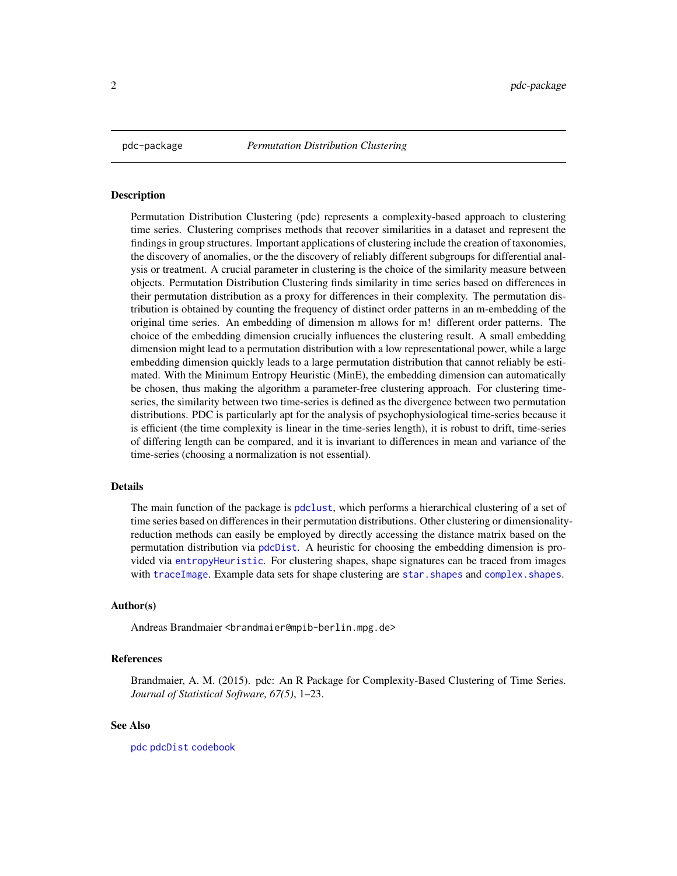<span id="page-1-1"></span><span id="page-1-0"></span>

Permutation Distribution Clustering (pdc) represents a complexity-based approach to clustering time series. Clustering comprises methods that recover similarities in a dataset and represent the findings in group structures. Important applications of clustering include the creation of taxonomies, the discovery of anomalies, or the the discovery of reliably different subgroups for differential analysis or treatment. A crucial parameter in clustering is the choice of the similarity measure between objects. Permutation Distribution Clustering finds similarity in time series based on differences in their permutation distribution as a proxy for differences in their complexity. The permutation distribution is obtained by counting the frequency of distinct order patterns in an m-embedding of the original time series. An embedding of dimension m allows for m! different order patterns. The choice of the embedding dimension crucially influences the clustering result. A small embedding dimension might lead to a permutation distribution with a low representational power, while a large embedding dimension quickly leads to a large permutation distribution that cannot reliably be estimated. With the Minimum Entropy Heuristic (MinE), the embedding dimension can automatically be chosen, thus making the algorithm a parameter-free clustering approach. For clustering timeseries, the similarity between two time-series is defined as the divergence between two permutation distributions. PDC is particularly apt for the analysis of psychophysiological time-series because it is efficient (the time complexity is linear in the time-series length), it is robust to drift, time-series of differing length can be compared, and it is invariant to differences in mean and variance of the time-series (choosing a normalization is not essential).

#### Details

The main function of the package is [pdclust](#page-10-1), which performs a hierarchical clustering of a set of time series based on differences in their permutation distributions. Other clustering or dimensionalityreduction methods can easily be employed by directly accessing the distance matrix based on the permutation distribution via [pdcDist](#page-9-1). A heuristic for choosing the embedding dimension is provided via [entropyHeuristic](#page-5-1). For clustering shapes, shape signatures can be traced from images with [traceImage](#page-14-1). Example data sets for shape clustering are star. shapes and complex. shapes.

#### Author(s)

Andreas Brandmaier <brandmaier@mpib-berlin.mpg.de>

#### References

Brandmaier, A. M. (2015). pdc: An R Package for Complexity-Based Clustering of Time Series. *Journal of Statistical Software, 67(5)*, 1–23.

#### See Also

[pdc](#page-1-1) [pdcDist](#page-9-1) [codebook](#page-2-1)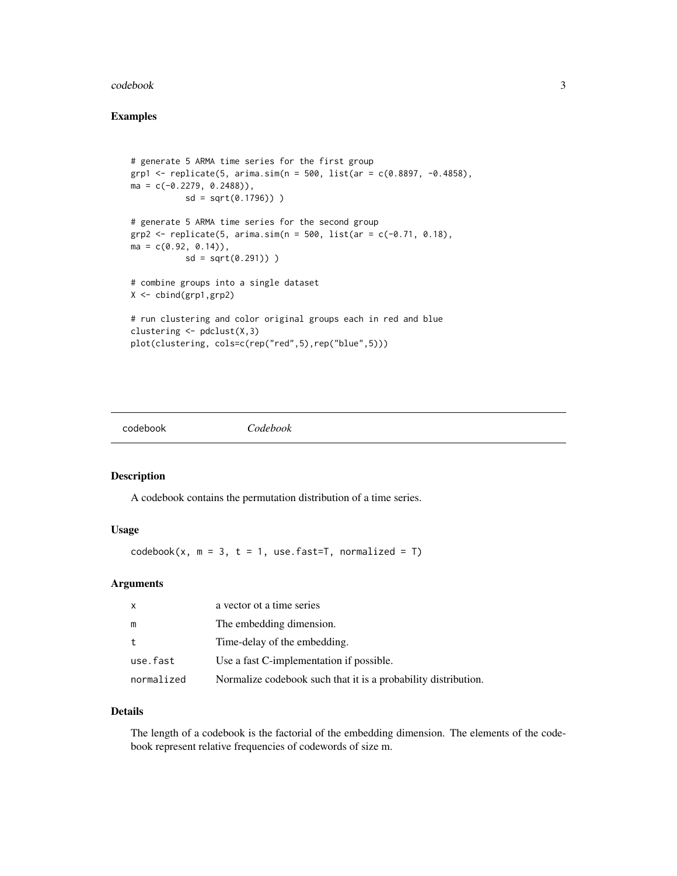#### <span id="page-2-0"></span>codebook 3

#### Examples

```
# generate 5 ARMA time series for the first group
grp1 <- replicate(5, arima.sim(n = 500, list(ar = c(0.8897, -0.4858),
ma = c(-0.2279, 0.2488),
           sd = sqrt(0.1796)))
# generate 5 ARMA time series for the second group
grp2 \leq -replicate(5, arima.sim(n = 500, list(ar = c(-0.71, 0.18)),ma = c(0.92, 0.14),
          sd = sqrt(0.291)))
# combine groups into a single dataset
X <- cbind(grp1,grp2)
# run clustering and color original groups each in red and blue
clustering \leq pdclust(X,3)plot(clustering, cols=c(rep("red",5),rep("blue",5)))
```
<span id="page-2-1"></span>codebook *Codebook*

## Description

A codebook contains the permutation distribution of a time series.

## Usage

 $codebook(x, m = 3, t = 1, use.fast=T, normalized = T)$ 

## Arguments

| x          | a vector of a time series                                      |
|------------|----------------------------------------------------------------|
| m          | The embedding dimension.                                       |
| t          | Time-delay of the embedding.                                   |
| use.fast   | Use a fast C-implementation if possible.                       |
| normalized | Normalize codebook such that it is a probability distribution. |

## Details

The length of a codebook is the factorial of the embedding dimension. The elements of the codebook represent relative frequencies of codewords of size m.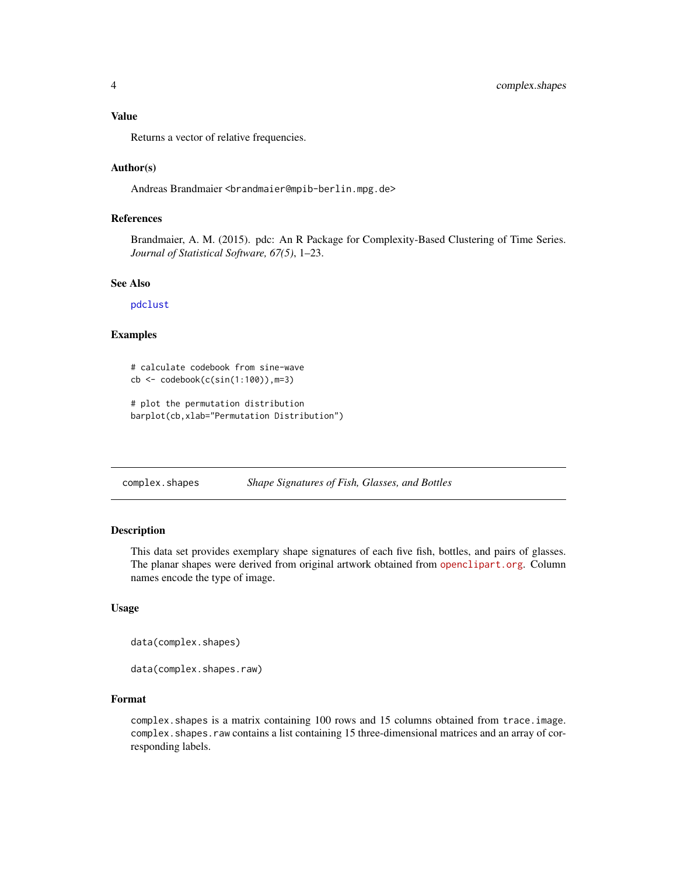## <span id="page-3-0"></span>Value

Returns a vector of relative frequencies.

#### Author(s)

Andreas Brandmaier <brandmaier@mpib-berlin.mpg.de>

## References

Brandmaier, A. M. (2015). pdc: An R Package for Complexity-Based Clustering of Time Series. *Journal of Statistical Software, 67(5)*, 1–23.

#### See Also

[pdclust](#page-10-1)

## Examples

```
# calculate codebook from sine-wave
cb <- codebook(c(sin(1:100)), m=3)
```

```
# plot the permutation distribution
barplot(cb,xlab="Permutation Distribution")
```
<span id="page-3-1"></span>

| complex.shapes |  | Shape Signatures of Fish, Glasses, and Bottles |
|----------------|--|------------------------------------------------|
|                |  |                                                |

#### Description

This data set provides exemplary shape signatures of each five fish, bottles, and pairs of glasses. The planar shapes were derived from original artwork obtained from <openclipart.org>. Column names encode the type of image.

## Usage

data(complex.shapes)

data(complex.shapes.raw)

#### Format

complex.shapes is a matrix containing 100 rows and 15 columns obtained from trace.image. complex. shapes. raw contains a list containing 15 three-dimensional matrices and an array of corresponding labels.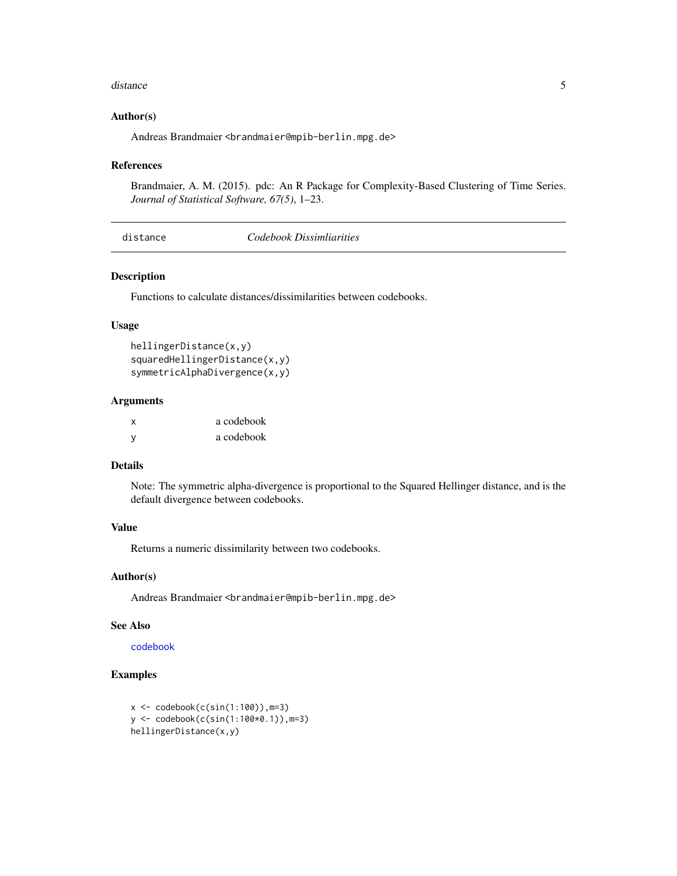#### <span id="page-4-0"></span>distance 5 and 5 and 5 and 5 and 5 and 5 and 6 and 6 and 6 and 6 and 6 and 6 and 6 and 6 and 6 and 6 and 6 and 6 and 6 and 6 and 6 and 6 and 6 and 6 and 6 and 6 and 6 and 6 and 6 and 6 and 6 and 6 and 6 and 6 and 6 and 6 a

#### Author(s)

Andreas Brandmaier <br and maier@mpib-berlin.mpg.de>

#### References

Brandmaier, A. M. (2015). pdc: An R Package for Complexity-Based Clustering of Time Series. *Journal of Statistical Software, 67(5)*, 1–23.

| Codebook Dissimliarities |
|--------------------------|
|--------------------------|

#### <span id="page-4-1"></span>Description

Functions to calculate distances/dissimilarities between codebooks.

#### Usage

```
hellingerDistance(x,y)
squaredHellingerDistance(x,y)
symmetricAlphaDivergence(x,y)
```
## Arguments

| X        | a codebook |
|----------|------------|
| <b>V</b> | a codebook |

## Details

Note: The symmetric alpha-divergence is proportional to the Squared Hellinger distance, and is the default divergence between codebooks.

#### Value

Returns a numeric dissimilarity between two codebooks.

#### Author(s)

Andreas Brandmaier <brandmaier@mpib-berlin.mpg.de>

## See Also

[codebook](#page-2-1)

## Examples

```
x \leftarrow \text{codebook}(c(\sin(1:100)), m=3)y <- codebook(c(sin(1:100*0.1)),m=3)
hellingerDistance(x,y)
```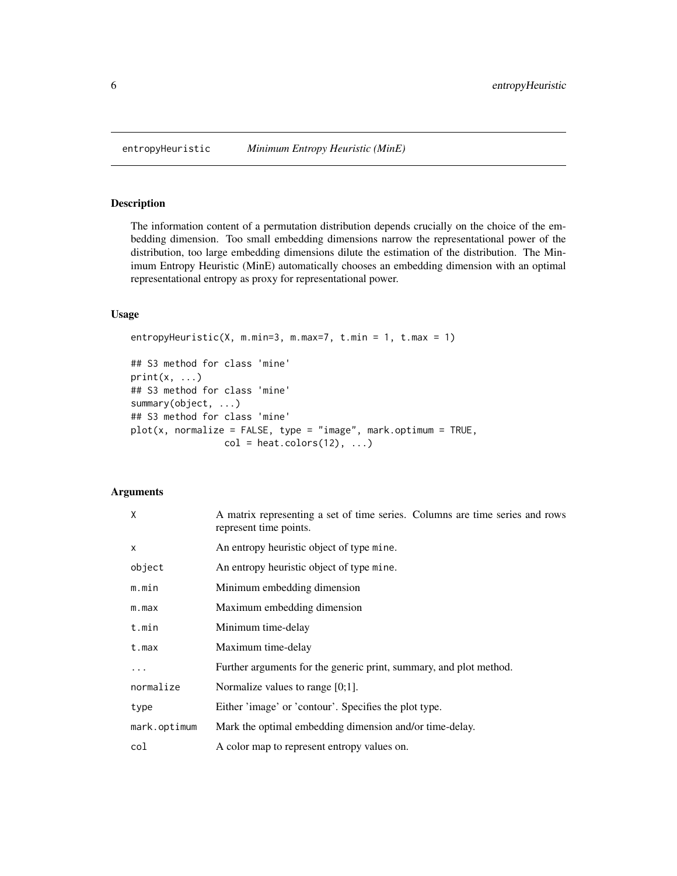<span id="page-5-1"></span><span id="page-5-0"></span>

The information content of a permutation distribution depends crucially on the choice of the embedding dimension. Too small embedding dimensions narrow the representational power of the distribution, too large embedding dimensions dilute the estimation of the distribution. The Minimum Entropy Heuristic (MinE) automatically chooses an embedding dimension with an optimal representational entropy as proxy for representational power.

## Usage

```
entropyHeuristic(X, m.min=3, m.max=7, t.min = 1, t.max = 1)
## S3 method for class 'mine'
print(x, \ldots)## S3 method for class 'mine'
summary(object, ...)
## S3 method for class 'mine'
plot(x, normalize = FALSE, type = "image", mark.optimum = TRUE,col = heat.colors(12), ...
```
## Arguments

| X            | A matrix representing a set of time series. Columns are time series and rows<br>represent time points. |
|--------------|--------------------------------------------------------------------------------------------------------|
| $\mathsf{x}$ | An entropy heuristic object of type mine.                                                              |
| object       | An entropy heuristic object of type mine.                                                              |
| m.min        | Minimum embedding dimension                                                                            |
| m.max        | Maximum embedding dimension                                                                            |
| t.min        | Minimum time-delay                                                                                     |
| t.max        | Maximum time-delay                                                                                     |
| .            | Further arguments for the generic print, summary, and plot method.                                     |
| normalize    | Normalize values to range $[0;1]$ .                                                                    |
| type         | Either 'image' or 'contour'. Specifies the plot type.                                                  |
| mark.optimum | Mark the optimal embedding dimension and/or time-delay.                                                |
| col          | A color map to represent entropy values on.                                                            |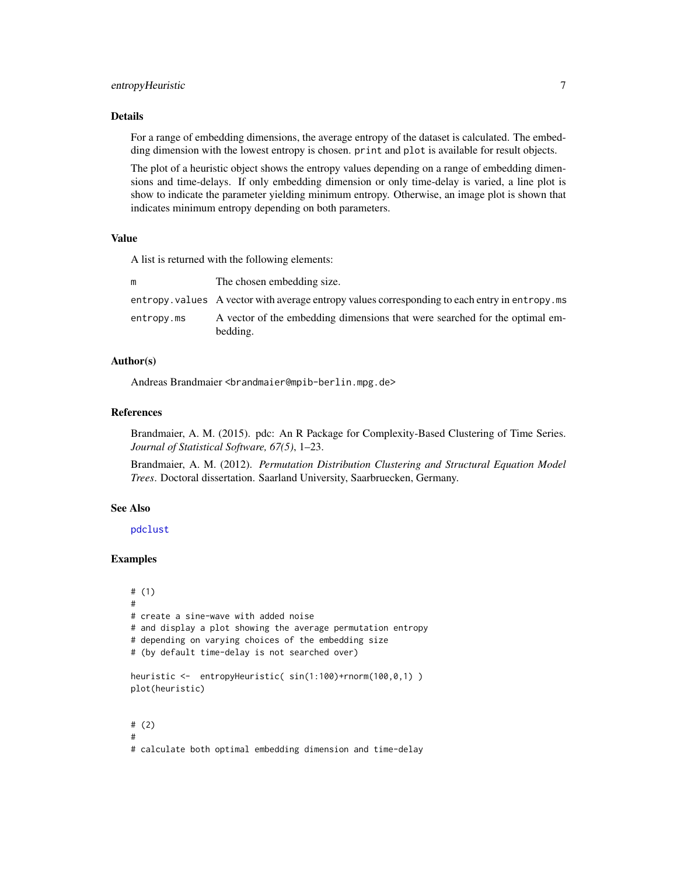## <span id="page-6-0"></span>entropyHeuristic 7

#### Details

For a range of embedding dimensions, the average entropy of the dataset is calculated. The embedding dimension with the lowest entropy is chosen. print and plot is available for result objects.

The plot of a heuristic object shows the entropy values depending on a range of embedding dimensions and time-delays. If only embedding dimension or only time-delay is varied, a line plot is show to indicate the parameter yielding minimum entropy. Otherwise, an image plot is shown that indicates minimum entropy depending on both parameters.

#### Value

A list is returned with the following elements:

|            | The chosen embedding size.                                                                      |
|------------|-------------------------------------------------------------------------------------------------|
|            | entropy, values A vector with average entropy values corresponding to each entry in entropy, ms |
| entropy.ms | A vector of the embedding dimensions that were searched for the optimal em-                     |
|            | bedding.                                                                                        |

#### Author(s)

Andreas Brandmaier <brandmaier@mpib-berlin.mpg.de>

#### References

Brandmaier, A. M. (2015). pdc: An R Package for Complexity-Based Clustering of Time Series. *Journal of Statistical Software, 67(5)*, 1–23.

Brandmaier, A. M. (2012). *Permutation Distribution Clustering and Structural Equation Model Trees*. Doctoral dissertation. Saarland University, Saarbruecken, Germany.

#### See Also

[pdclust](#page-10-1)

#### Examples

```
# (1)
#
# create a sine-wave with added noise
# and display a plot showing the average permutation entropy
# depending on varying choices of the embedding size
# (by default time-delay is not searched over)
heuristic <- entropyHeuristic( sin(1:100)+rnorm(100,0,1) )
plot(heuristic)
# (2)
#
# calculate both optimal embedding dimension and time-delay
```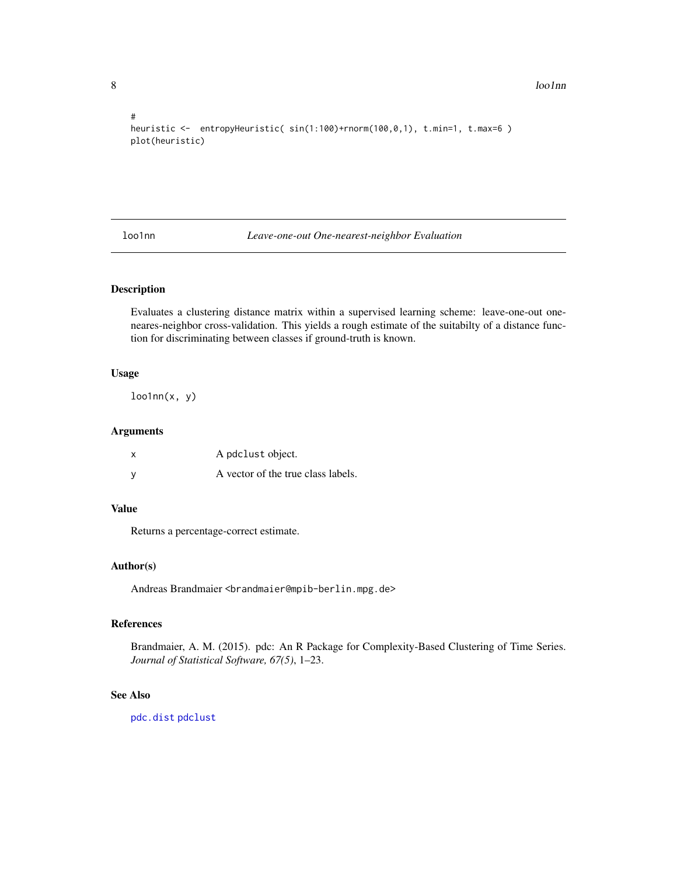8 loo1nn

```
#
heuristic <- entropyHeuristic( sin(1:100)+rnorm(100,0,1), t.min=1, t.max=6 )
plot(heuristic)
```
loo1nn *Leave-one-out One-nearest-neighbor Evaluation*

#### Description

Evaluates a clustering distance matrix within a supervised learning scheme: leave-one-out oneneares-neighbor cross-validation. This yields a rough estimate of the suitabilty of a distance function for discriminating between classes if ground-truth is known.

#### Usage

 $loolnn(x, y)$ 

## Arguments

| x | A pdclust object.                  |
|---|------------------------------------|
| v | A vector of the true class labels. |

#### Value

Returns a percentage-correct estimate.

#### Author(s)

Andreas Brandmaier <br andmaier@mpib-berlin.mpg.de>

#### References

Brandmaier, A. M. (2015). pdc: An R Package for Complexity-Based Clustering of Time Series. *Journal of Statistical Software, 67(5)*, 1–23.

#### See Also

[pdc.dist](#page-9-2) [pdclust](#page-10-1)

<span id="page-7-0"></span>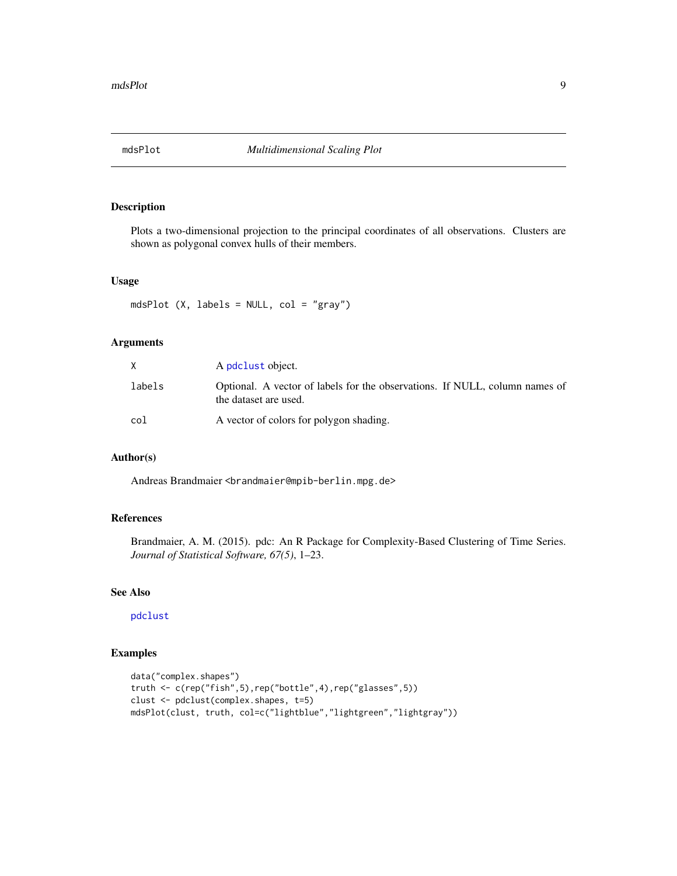<span id="page-8-0"></span>

Plots a two-dimensional projection to the principal coordinates of all observations. Clusters are shown as polygonal convex hulls of their members.

#### Usage

mdsPlot (X, labels = NULL, col = "gray")

## Arguments

|        | A pdclust object.                                                                                    |
|--------|------------------------------------------------------------------------------------------------------|
| labels | Optional. A vector of labels for the observations. If NULL, column names of<br>the dataset are used. |
| col    | A vector of colors for polygon shading.                                                              |

#### Author(s)

Andreas Brandmaier <br andmaier@mpib-berlin.mpg.de>

## References

Brandmaier, A. M. (2015). pdc: An R Package for Complexity-Based Clustering of Time Series. *Journal of Statistical Software, 67(5)*, 1–23.

#### See Also

#### [pdclust](#page-10-1)

## Examples

```
data("complex.shapes")
truth <- c(rep("fish",5),rep("bottle",4),rep("glasses",5))
clust <- pdclust(complex.shapes, t=5)
mdsPlot(clust, truth, col=c("lightblue","lightgreen","lightgray"))
```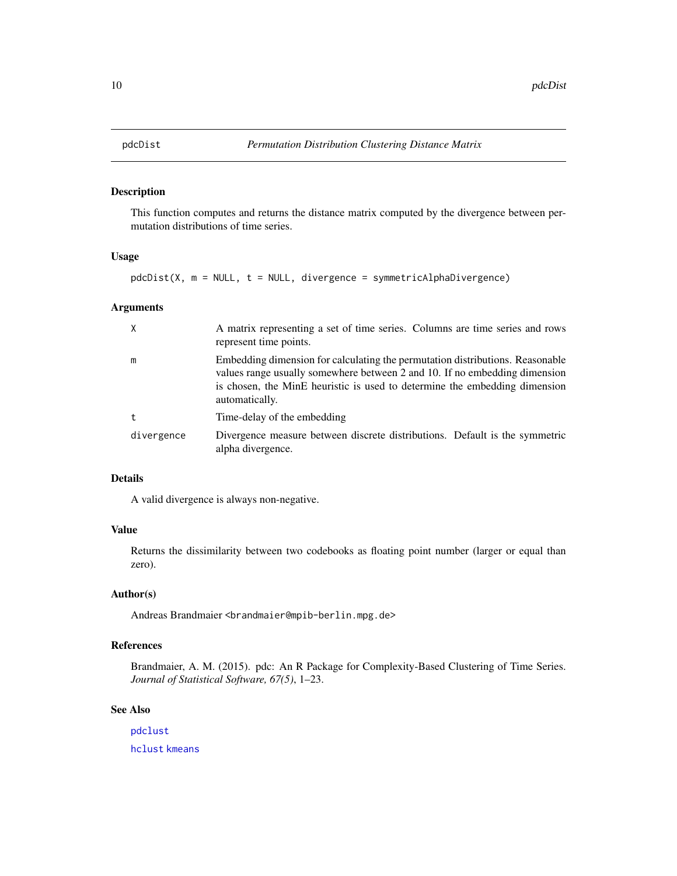<span id="page-9-2"></span><span id="page-9-1"></span><span id="page-9-0"></span>

This function computes and returns the distance matrix computed by the divergence between permutation distributions of time series.

## Usage

 $pdcDist(X, m = NULL, t = NULL, divergence = symmetricAlphaDivergence)$ 

## Arguments

| X          | A matrix representing a set of time series. Columns are time series and rows<br>represent time points.                                                                                                                                                      |
|------------|-------------------------------------------------------------------------------------------------------------------------------------------------------------------------------------------------------------------------------------------------------------|
| m          | Embedding dimension for calculating the permutation distributions. Reasonable<br>values range usually somewhere between 2 and 10. If no embedding dimension<br>is chosen, the MinE heuristic is used to determine the embedding dimension<br>automatically. |
| $^{\rm t}$ | Time-delay of the embedding                                                                                                                                                                                                                                 |
| divergence | Divergence measure between discrete distributions. Default is the symmetric<br>alpha divergence.                                                                                                                                                            |

## Details

A valid divergence is always non-negative.

## Value

Returns the dissimilarity between two codebooks as floating point number (larger or equal than zero).

#### Author(s)

Andreas Brandmaier <br andmaier@mpib-berlin.mpg.de>

## References

Brandmaier, A. M. (2015). pdc: An R Package for Complexity-Based Clustering of Time Series. *Journal of Statistical Software, 67(5)*, 1–23.

#### See Also

[pdclust](#page-10-1) [hclust](#page-0-0) [kmeans](#page-0-0)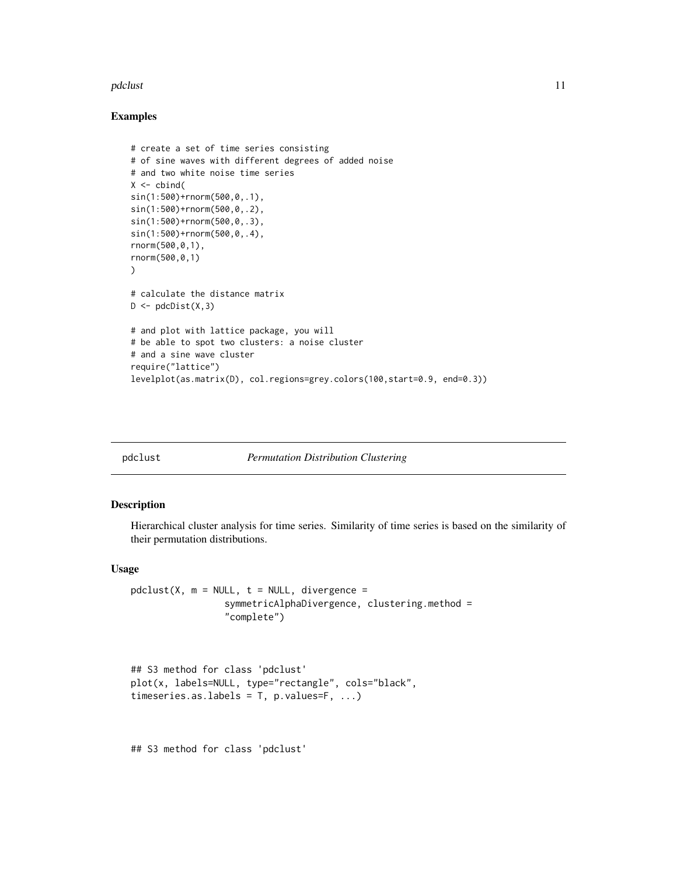#### <span id="page-10-0"></span>pdclust that the contract of the contract of the contract of the contract of the contract of the contract of the contract of the contract of the contract of the contract of the contract of the contract of the contract of t

#### Examples

```
# create a set of time series consisting
# of sine waves with different degrees of added noise
# and two white noise time series
X \leftarrow \text{cbind}(sin(1:500)+rnorm(500,0,.1),
sin(1:500)+rnorm(500,0,.2),
sin(1:500)+rnorm(500,0,.3),
sin(1:500)+rnorm(500,0,.4),
rnorm(500,0,1),
rnorm(500,0,1)
\lambda# calculate the distance matrix
D \leftarrow \text{pdcDist}(X, 3)# and plot with lattice package, you will
# be able to spot two clusters: a noise cluster
# and a sine wave cluster
require("lattice")
levelplot(as.matrix(D), col.regions=grey.colors(100,start=0.9, end=0.3))
```
<span id="page-10-1"></span>

pdclust *Permutation Distribution Clustering*

#### Description

Hierarchical cluster analysis for time series. Similarity of time series is based on the similarity of their permutation distributions.

#### Usage

```
pdclust(X, m = NULL, t = NULL, divergence =symmetricAlphaDivergence, clustering.method =
                 "complete")
```

```
## S3 method for class 'pdclust'
plot(x, labels=NULL, type="rectangle", cols="black",
timeseries.as.labels = T, p.values=F, ...)
```
## S3 method for class 'pdclust'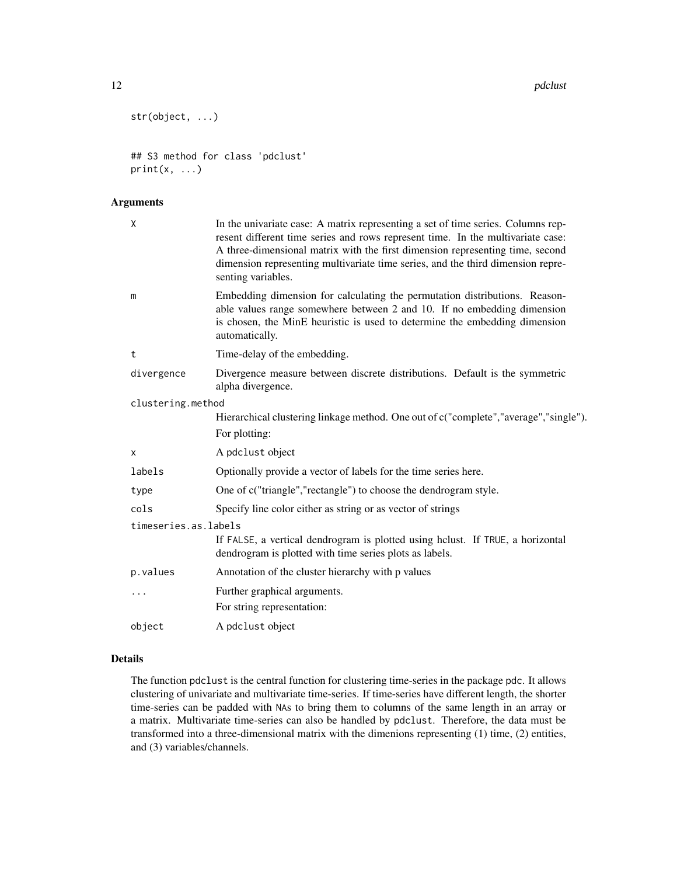```
str(object, ...)
```

```
## S3 method for class 'pdclust'
print(x, \ldots)
```
## Arguments

| $\mathsf{X}$         | In the univariate case: A matrix representing a set of time series. Columns rep-<br>resent different time series and rows represent time. In the multivariate case:<br>A three-dimensional matrix with the first dimension representing time, second<br>dimension representing multivariate time series, and the third dimension repre-<br>senting variables. |
|----------------------|---------------------------------------------------------------------------------------------------------------------------------------------------------------------------------------------------------------------------------------------------------------------------------------------------------------------------------------------------------------|
| m                    | Embedding dimension for calculating the permutation distributions. Reason-<br>able values range somewhere between 2 and 10. If no embedding dimension<br>is chosen, the MinE heuristic is used to determine the embedding dimension<br>automatically.                                                                                                         |
| t                    | Time-delay of the embedding.                                                                                                                                                                                                                                                                                                                                  |
| divergence           | Divergence measure between discrete distributions. Default is the symmetric<br>alpha divergence.                                                                                                                                                                                                                                                              |
| clustering.method    |                                                                                                                                                                                                                                                                                                                                                               |
|                      | Hierarchical clustering linkage method. One out of c("complete","average","single").<br>For plotting:                                                                                                                                                                                                                                                         |
| X                    | A pdclust object                                                                                                                                                                                                                                                                                                                                              |
| labels               | Optionally provide a vector of labels for the time series here.                                                                                                                                                                                                                                                                                               |
| type                 | One of c("triangle","rectangle") to choose the dendrogram style.                                                                                                                                                                                                                                                                                              |
| cols                 | Specify line color either as string or as vector of strings                                                                                                                                                                                                                                                                                                   |
| timeseries.as.labels |                                                                                                                                                                                                                                                                                                                                                               |
|                      | If FALSE, a vertical dendrogram is plotted using hclust. If TRUE, a horizontal<br>dendrogram is plotted with time series plots as labels.                                                                                                                                                                                                                     |
| p.values             | Annotation of the cluster hierarchy with p values                                                                                                                                                                                                                                                                                                             |
|                      | Further graphical arguments.                                                                                                                                                                                                                                                                                                                                  |
|                      | For string representation:                                                                                                                                                                                                                                                                                                                                    |
| object               | A pdclust object                                                                                                                                                                                                                                                                                                                                              |

## Details

The function pdclust is the central function for clustering time-series in the package pdc. It allows clustering of univariate and multivariate time-series. If time-series have different length, the shorter time-series can be padded with NAs to bring them to columns of the same length in an array or a matrix. Multivariate time-series can also be handled by pdclust. Therefore, the data must be transformed into a three-dimensional matrix with the dimenions representing (1) time, (2) entities, and (3) variables/channels.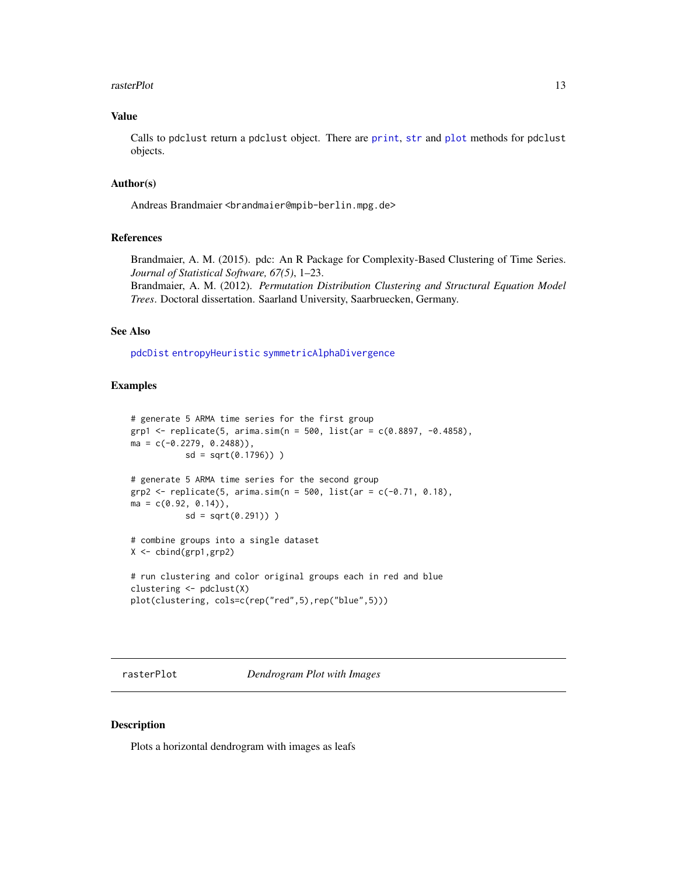#### <span id="page-12-0"></span>rasterPlot 13

#### Value

Calls to pdclust return a pdclust object. There are [print](#page-0-0), [str](#page-0-0) and [plot](#page-0-0) methods for pdclust objects.

#### Author(s)

Andreas Brandmaier <br andmaier@mpib-berlin.mpg.de>

## References

Brandmaier, A. M. (2015). pdc: An R Package for Complexity-Based Clustering of Time Series. *Journal of Statistical Software, 67(5)*, 1–23.

Brandmaier, A. M. (2012). *Permutation Distribution Clustering and Structural Equation Model Trees*. Doctoral dissertation. Saarland University, Saarbruecken, Germany.

## See Also

[pdcDist](#page-9-1) [entropyHeuristic](#page-5-1) [symmetricAlphaDivergence](#page-4-1)

#### Examples

```
# generate 5 ARMA time series for the first group
grp1 <- replicate(5, arima.sim(n = 500, list(ar = c(0.8897, -0.4858),
ma = c(-0.2279, 0.2488),
           sd = sqrt(0.1796)) )
# generate 5 ARMA time series for the second group
grp2 \leq -replicate(5, arima.sim(n = 500, list(ar = c(-0.71, 0.18)),ma = c(0.92, 0.14),
           sd = sqrt(0.291)))
# combine groups into a single dataset
X <- cbind(grp1,grp2)
# run clustering and color original groups each in red and blue
clustering <- pdclust(X)
plot(clustering, cols=c(rep("red",5),rep("blue",5)))
```
rasterPlot *Dendrogram Plot with Images*

## Description

Plots a horizontal dendrogram with images as leafs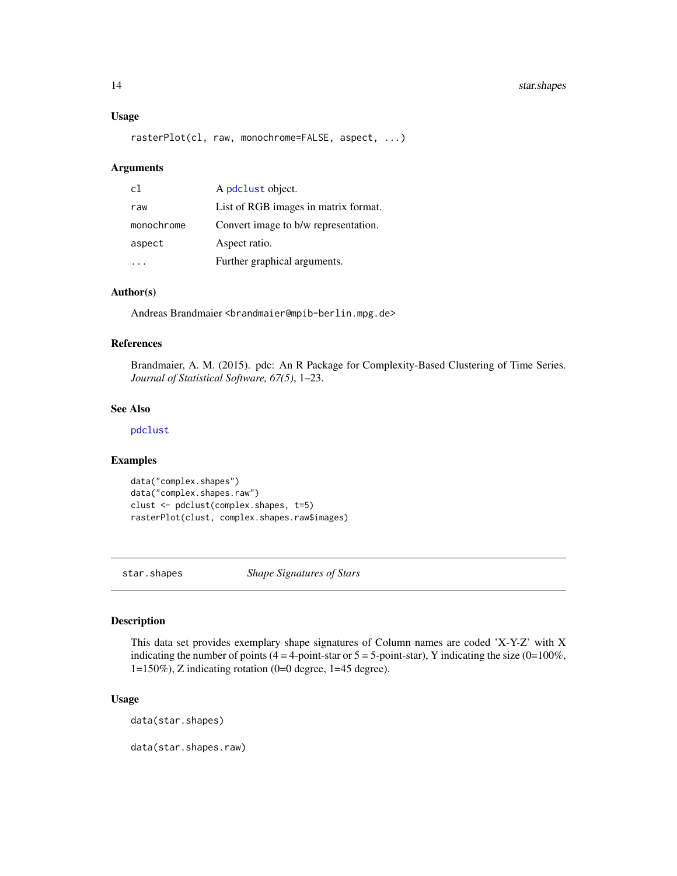## <span id="page-13-0"></span>14 star.shapes

#### Usage

```
rasterPlot(cl, raw, monochrome=FALSE, aspect, ...)
```
#### Arguments

| c1         | A pdclust object.                    |
|------------|--------------------------------------|
| raw        | List of RGB images in matrix format. |
| monochrome | Convert image to b/w representation. |
| aspect     | Aspect ratio.                        |
|            | Further graphical arguments.         |

## Author(s)

Andreas Brandmaier <br andmaier@mpib-berlin.mpg.de>

#### References

Brandmaier, A. M. (2015). pdc: An R Package for Complexity-Based Clustering of Time Series. *Journal of Statistical Software, 67(5)*, 1–23.

#### See Also

[pdclust](#page-10-1)

#### Examples

```
data("complex.shapes")
data("complex.shapes.raw")
clust <- pdclust(complex.shapes, t=5)
rasterPlot(clust, complex.shapes.raw$images)
```
<span id="page-13-1"></span>star.shapes *Shape Signatures of Stars*

#### Description

This data set provides exemplary shape signatures of Column names are coded 'X-Y-Z' with X indicating the number of points (4 = 4-point-star or  $5 = 5$ -point-star), Y indicating the size (0=100%, 1=150%), Z indicating rotation (0=0 degree, 1=45 degree).

## Usage

data(star.shapes)

data(star.shapes.raw)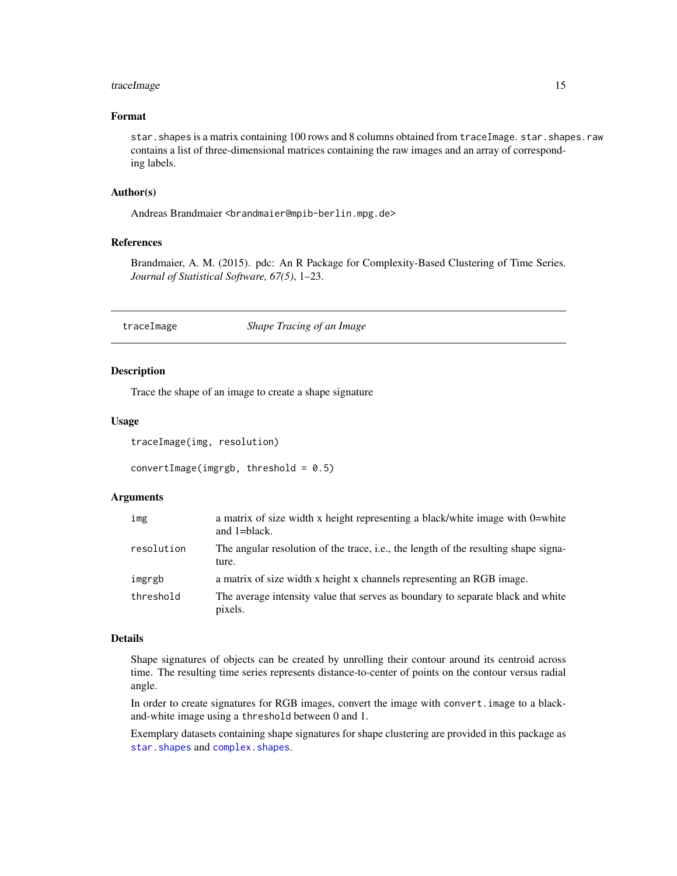#### <span id="page-14-0"></span>traceImage 15

#### Format

star. shapes is a matrix containing 100 rows and 8 columns obtained from traceImage. star. shapes. raw contains a list of three-dimensional matrices containing the raw images and an array of corresponding labels.

#### Author(s)

Andreas Brandmaier <br and maier@mpib-berlin.mpg.de>

#### References

Brandmaier, A. M. (2015). pdc: An R Package for Complexity-Based Clustering of Time Series. *Journal of Statistical Software, 67(5)*, 1–23.

#### <span id="page-14-1"></span>traceImage *Shape Tracing of an Image*

## Description

Trace the shape of an image to create a shape signature

#### Usage

traceImage(img, resolution)

convertImage(imgrgb, threshold =  $0.5$ )

#### Arguments

| img        | a matrix of size width x height representing a black/white image with 0=white<br>and 1=black. |
|------------|-----------------------------------------------------------------------------------------------|
| resolution | The angular resolution of the trace, i.e., the length of the resulting shape signa-<br>ture.  |
| imgrgb     | a matrix of size width x height x channels representing an RGB image.                         |
| threshold  | The average intensity value that serves as boundary to separate black and white<br>pixels.    |

## Details

Shape signatures of objects can be created by unrolling their contour around its centroid across time. The resulting time series represents distance-to-center of points on the contour versus radial angle.

In order to create signatures for RGB images, convert the image with convert.image to a blackand-white image using a threshold between 0 and 1.

Exemplary datasets containing shape signatures for shape clustering are provided in this package as [star.shapes](#page-13-1) and [complex.shapes](#page-3-1).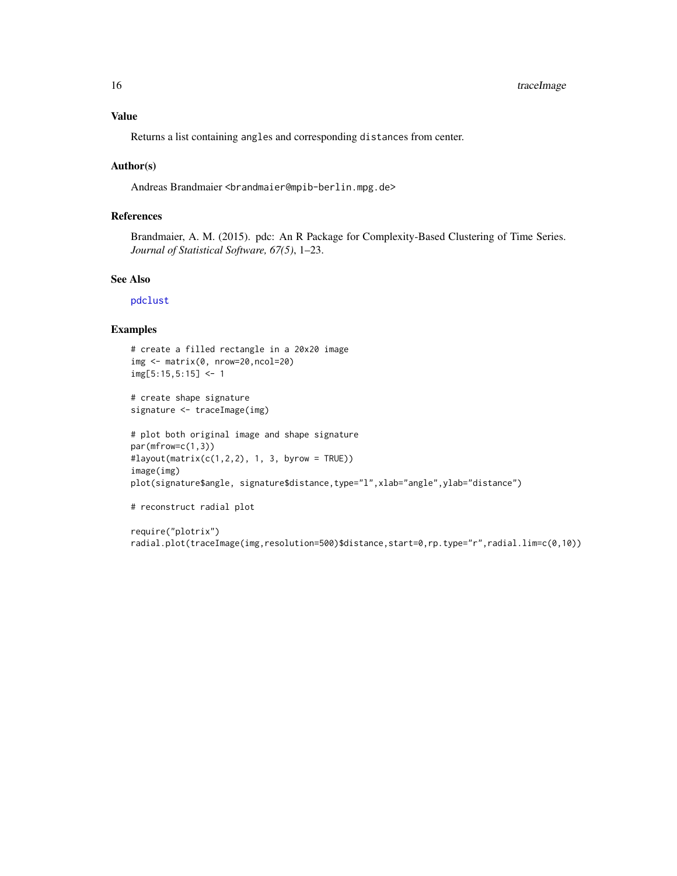<span id="page-15-0"></span>Returns a list containing angles and corresponding distances from center.

#### Author(s)

Andreas Brandmaier <brandmaier@mpib-berlin.mpg.de>

## References

Brandmaier, A. M. (2015). pdc: An R Package for Complexity-Based Clustering of Time Series. *Journal of Statistical Software, 67(5)*, 1–23.

## See Also

[pdclust](#page-10-1)

#### Examples

```
# create a filled rectangle in a 20x20 image
img <- matrix(0, nrow=20,ncol=20)
img[5:15,5:15] < -1
```
# create shape signature signature <- traceImage(img)

```
# plot both original image and shape signature
par(mfrow=c(1,3))
#layout(matrix(c(1,2,2), 1, 3, byrow = TRUE))
image(img)
plot(signature$angle, signature$distance,type="l",xlab="angle",ylab="distance")
```

```
# reconstruct radial plot
```

```
require("plotrix")
radial.plot(traceImage(img,resolution=500)$distance,start=0,rp.type="r",radial.lim=c(0,10))
```